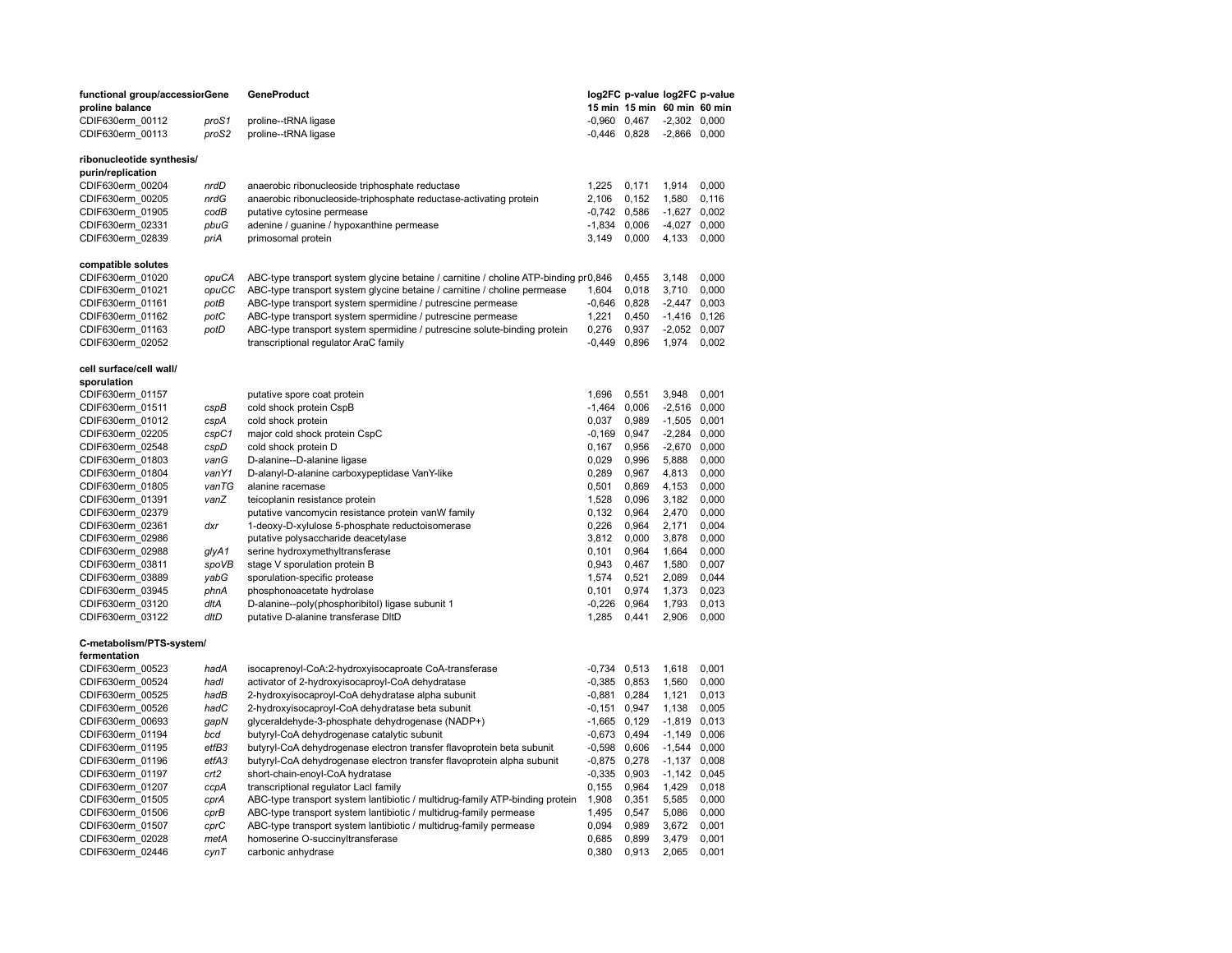| functional group/accessiorGene |       | GeneProduct                                                                         |                  | log2FC p-value log2FC p-value |                |       |
|--------------------------------|-------|-------------------------------------------------------------------------------------|------------------|-------------------------------|----------------|-------|
| proline balance                |       |                                                                                     |                  | 15 min 15 min 60 min 60 min   |                |       |
| CDIF630erm 00112               | proS1 | proline--tRNA ligase                                                                | $-0.960$ $0.467$ |                               | $-2,302$ 0,000 |       |
| CDIF630erm_00113               | proS2 | proline--tRNA ligase                                                                | $-0,446$ 0,828   |                               | $-2,866$ 0,000 |       |
|                                |       |                                                                                     |                  |                               |                |       |
| ribonucleotide synthesis/      |       |                                                                                     |                  |                               |                |       |
| purin/replication              |       |                                                                                     |                  |                               |                |       |
| CDIF630erm_00204               | nrdD  | anaerobic ribonucleoside triphosphate reductase                                     | 1,225            | 0,171                         | 1,914          | 0,000 |
| CDIF630erm_00205               | nrdG  | anaerobic ribonucleoside-triphosphate reductase-activating protein                  | 2,106            | 0,152                         | 1,580          | 0,116 |
| CDIF630erm 01905               | codB  | putative cytosine permease                                                          | $-0,742$ 0,586   |                               | $-1,627$       | 0,002 |
| CDIF630erm 02331               | pbuG  | adenine / guanine / hypoxanthine permease                                           | $-1,834$         | 0,006                         | $-4,027$       | 0,000 |
| CDIF630erm 02839               | priA  | primosomal protein                                                                  | 3,149            | 0,000                         | 4,133          | 0,000 |
|                                |       |                                                                                     |                  |                               |                |       |
| compatible solutes             |       |                                                                                     |                  |                               |                |       |
| CDIF630erm 01020               | opuCA | ABC-type transport system glycine betaine / carnitine / choline ATP-binding pr0,846 |                  | 0,455                         | 3,148          | 0,000 |
| CDIF630erm 01021               | opuCC | ABC-type transport system glycine betaine / carnitine / choline permease            | 1,604            | 0,018                         | 3,710          | 0,000 |
| CDIF630erm 01161               | potB  | ABC-type transport system spermidine / putrescine permease                          | $-0,646$         | 0,828                         | $-2,447$       | 0,003 |
| CDIF630erm 01162               | potC  | ABC-type transport system spermidine / putrescine permease                          | 1,221            | 0,450                         | $-1,416$ 0,126 |       |
| CDIF630erm 01163               | potD  | ABC-type transport system spermidine / putrescine solute-binding protein            | 0,276            | 0,937                         | $-2,052$       | 0,007 |
| CDIF630erm_02052               |       | transcriptional regulator AraC family                                               | -0,449           | 0,896                         | 1,974          | 0,002 |
|                                |       |                                                                                     |                  |                               |                |       |
| cell surface/cell wall/        |       |                                                                                     |                  |                               |                |       |
| sporulation                    |       |                                                                                     |                  |                               |                |       |
| CDIF630erm_01157               |       | putative spore coat protein                                                         | 1,696            | 0,551                         | 3,948          | 0,001 |
| CDIF630erm_01511               | cspB  | cold shock protein CspB                                                             | $-1,464$         | 0,006                         | $-2,516$       | 0,000 |
| CDIF630erm 01012               | cspA  | cold shock protein                                                                  | 0,037            | 0,989                         | $-1,505$ 0,001 |       |
| CDIF630erm_02205               | cspC1 | major cold shock protein CspC                                                       | $-0,169$         | 0,947                         | $-2,284$       | 0,000 |
| CDIF630erm_02548               | cspD  | cold shock protein D                                                                | 0,167            | 0,956                         | $-2,670$       | 0,000 |
| CDIF630erm 01803               | vanG  | D-alanine--D-alanine ligase                                                         | 0,029            | 0,996                         | 5,888          | 0,000 |
| CDIF630erm_01804               | vanY1 | D-alanyl-D-alanine carboxypeptidase VanY-like                                       | 0,289            | 0,967                         | 4,813          | 0,000 |
| CDIF630erm 01805               | vanTG | alanine racemase                                                                    | 0,501            | 0,869                         | 4,153          | 0,000 |
| CDIF630erm 01391               | vanZ  | teicoplanin resistance protein                                                      | 1,528            | 0,096                         | 3,182          | 0,000 |
| CDIF630erm 02379               |       | putative vancomycin resistance protein vanW family                                  | 0,132            | 0,964                         | 2,470          | 0,000 |
| CDIF630erm 02361               | dxr   | 1-deoxy-D-xylulose 5-phosphate reductoisomerase                                     | 0,226            | 0,964                         | 2,171          | 0,004 |
| CDIF630erm 02986               |       | putative polysaccharide deacetylase                                                 | 3,812            | 0,000                         | 3,878          | 0,000 |
| CDIF630erm 02988               | glyA1 | serine hydroxymethyltransferase                                                     | 0,101            | 0,964                         | 1,664          | 0,000 |
|                                |       |                                                                                     |                  |                               |                |       |
| CDIF630erm 03811               | spoVB | stage V sporulation protein B                                                       | 0,943            | 0,467                         | 1,580          | 0,007 |
| CDIF630erm 03889               | yabG  | sporulation-specific protease                                                       | 1,574            | 0,521                         | 2,089          | 0,044 |
| CDIF630erm 03945               | phnA  | phosphonoacetate hydrolase                                                          | 0,101            | 0,974                         | 1,373          | 0,023 |
| CDIF630erm 03120               | dltA  | D-alanine--poly(phosphoribitol) ligase subunit 1                                    | $-0,226$         | 0,964                         | 1,793          | 0,013 |
| CDIF630erm 03122               | dltD  | putative D-alanine transferase DItD                                                 | 1,285            | 0,441                         | 2,906          | 0,000 |
| C-metabolism/PTS-system/       |       |                                                                                     |                  |                               |                |       |
| fermentation                   |       |                                                                                     |                  |                               |                |       |
| CDIF630erm 00523               | hadA  | isocaprenoyl-CoA:2-hydroxyisocaproate CoA-transferase                               | $-0,734$         | 0,513                         | 1,618          | 0,001 |
| CDIF630erm 00524               | hadl  | activator of 2-hydroxyisocaproyl-CoA dehydratase                                    | $-0.385$         | 0,853                         | 1,560          | 0,000 |
| CDIF630erm_00525               | hadB  | 2-hydroxyisocaproyl-CoA dehydratase alpha subunit                                   | $-0,881$         | 0,284                         | 1,121          | 0,013 |
| CDIF630erm_00526               | hadC  | 2-hydroxyisocaproyl-CoA dehydratase beta subunit                                    | $-0,151$         | 0,947                         | 1,138          | 0,005 |
|                                |       | glyceraldehyde-3-phosphate dehydrogenase (NADP+)                                    | $-1,665$ 0,129   |                               | $-1,819$       | 0,013 |
| CDIF630erm 00693               | gapN  |                                                                                     |                  |                               |                |       |
| CDIF630erm 01194               | bcd   | butyryl-CoA dehydrogenase catalytic subunit                                         | $-0,673$         | 0,494                         | $-1,149$       | 0,006 |
| CDIF630erm 01195               | etfB3 | butyryl-CoA dehydrogenase electron transfer flavoprotein beta subunit               | $-0,598$         | 0,606                         | $-1,544$       | 0,000 |
| CDIF630erm 01196               | etfA3 | butyryl-CoA dehydrogenase electron transfer flavoprotein alpha subunit              | $-0.875$         | 0,278                         | $-1,137$       | 0,008 |
| CDIF630erm_01197               | crt2  | short-chain-enoyl-CoA hydratase                                                     | $-0,335$         | 0,903                         | $-1,142$ 0,045 |       |
| CDIF630erm 01207               | ccpA  | transcriptional regulator LacI family                                               | 0,155            | 0,964                         | 1,429          | 0,018 |
| CDIF630erm 01505               | cprA  | ABC-type transport system lantibiotic / multidrug-family ATP-binding protein        | 1,908            | 0,351                         | 5,585          | 0,000 |
| CDIF630erm 01506               | cprB  | ABC-type transport system lantibiotic / multidrug-family permease                   | 1,495            | 0,547                         | 5,086          | 0,000 |
| CDIF630erm 01507               | cprC  | ABC-type transport system lantibiotic / multidrug-family permease                   | 0,094            | 0,989                         | 3,672          | 0,001 |
| CDIF630erm 02028               | metA  | homoserine O-succinyltransferase                                                    | 0,685            | 0,899                         | 3,479          | 0,001 |
| CDIF630erm_02446               | cynT  | carbonic anhydrase                                                                  | 0,380            | 0,913                         | 2,065          | 0,001 |
|                                |       |                                                                                     |                  |                               |                |       |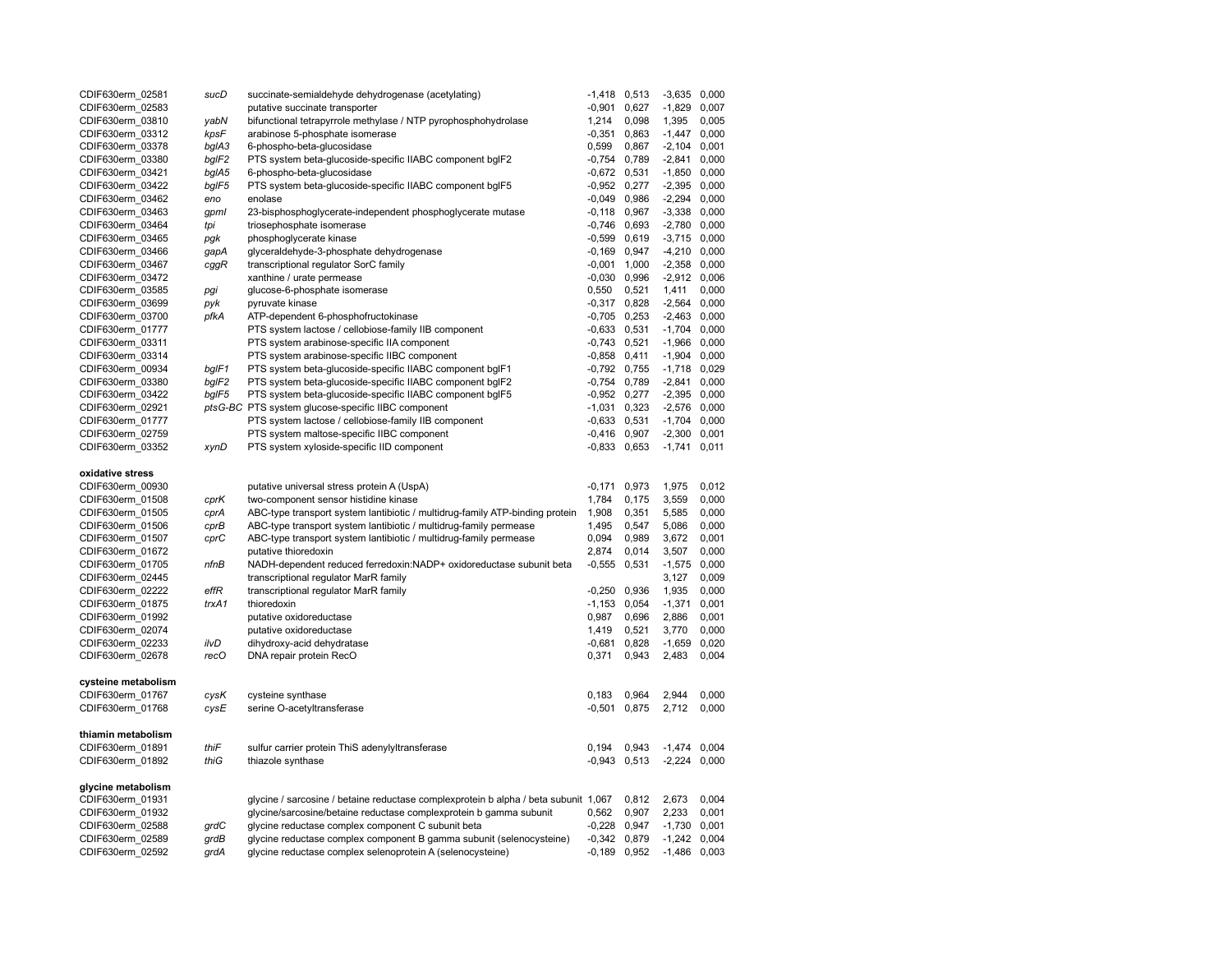| CDIF630erm 02581    | sucD  | succinate-semialdehyde dehydrogenase (acetylating)                                  | $-1,418$ 0,513   |       | $-3,635$       | 0,000 |
|---------------------|-------|-------------------------------------------------------------------------------------|------------------|-------|----------------|-------|
| CDIF630erm_02583    |       | putative succinate transporter                                                      | $-0,901$         | 0,627 | $-1,829$       | 0,007 |
| CDIF630erm 03810    | yabN  | bifunctional tetrapyrrole methylase / NTP pyrophosphohydrolase                      | 1,214            | 0,098 | 1,395          | 0,005 |
| CDIF630erm 03312    | kpsF  | arabinose 5-phosphate isomerase                                                     | -0,351           | 0,863 | $-1,447$       | 0,000 |
| CDIF630erm 03378    | bgIA3 | 6-phospho-beta-glucosidase                                                          | 0,599            | 0,867 | $-2,104$       | 0,001 |
| CDIF630erm 03380    | bgIF2 | PTS system beta-glucoside-specific IIABC component bgIF2                            | $-0,754$         | 0,789 | $-2,841$       | 0,000 |
| CDIF630erm_03421    | bglA5 | 6-phospho-beta-glucosidase                                                          | $-0.672$ $0.531$ |       | $-1,850$ 0,000 |       |
| CDIF630erm 03422    | bgIF5 | PTS system beta-glucoside-specific IIABC component bgIF5                            | $-0,952$ 0,277   |       | $-2,395$       | 0,000 |
| CDIF630erm_03462    | eno   | enolase                                                                             | $-0,049$ 0,986   |       | $-2,294$       | 0,000 |
|                     |       |                                                                                     |                  |       | $-3,338$ 0,000 |       |
| CDIF630erm 03463    | gpml  | 23-bisphosphoglycerate-independent phosphoglycerate mutase                          | $-0,118$ 0,967   |       | $-2,780$ 0,000 |       |
| CDIF630erm 03464    | tpi   | triosephosphate isomerase                                                           | $-0,746$ 0,693   |       | $-3,715$ 0,000 |       |
| CDIF630erm 03465    | pgk   | phosphoglycerate kinase                                                             | $-0,599$ $0,619$ |       |                |       |
| CDIF630erm 03466    | gapA  | glyceraldehyde-3-phosphate dehydrogenase                                            | $-0,169$ 0,947   |       | $-4,210$       | 0,000 |
| CDIF630erm 03467    | cggR  | transcriptional regulator SorC family                                               | $-0,001$ 1,000   |       | $-2,358$ 0,000 |       |
| CDIF630erm 03472    |       | xanthine / urate permease                                                           | $-0,030$ $0,996$ |       | $-2,912$ 0,006 |       |
| CDIF630erm 03585    | pgi   | glucose-6-phosphate isomerase                                                       | 0,550            | 0,521 | 1,411          | 0,000 |
| CDIF630erm 03699    | pyk   | pyruvate kinase                                                                     | $-0,317$ 0,828   |       | $-2,564$       | 0,000 |
| CDIF630erm 03700    | pfkA  | ATP-dependent 6-phosphofructokinase                                                 | $-0,705$ 0,253   |       | $-2,463$       | 0,000 |
| CDIF630erm 01777    |       | PTS system lactose / cellobiose-family IIB component                                | $-0,633$ $0,531$ |       | $-1,704$       | 0,000 |
| CDIF630erm 03311    |       | PTS system arabinose-specific IIA component                                         | $-0,743$ 0,521   |       | $-1,966$       | 0,000 |
| CDIF630erm 03314    |       | PTS system arabinose-specific IIBC component                                        | $-0.858$ $0.411$ |       | $-1,904$       | 0,000 |
| CDIF630erm 00934    | bgIF1 | PTS system beta-glucoside-specific IIABC component bgIF1                            | $-0,792$ 0,755   |       | $-1,718$ 0,029 |       |
| CDIF630erm 03380    | bgIF2 | PTS system beta-glucoside-specific IIABC component bgIF2                            | $-0,754$         | 0,789 | $-2,841$       | 0,000 |
| CDIF630erm 03422    | bgIF5 | PTS system beta-glucoside-specific IIABC component bgIF5                            | $-0,952$ 0,277   |       | $-2,395$ 0,000 |       |
| CDIF630erm_02921    |       | ptsG-BC PTS system glucose-specific IIBC component                                  | $-1,031$ 0,323   |       | $-2,576$       | 0,000 |
| CDIF630erm 01777    |       | PTS system lactose / cellobiose-family IIB component                                | $-0,633$ $0,531$ |       | $-1,704$ 0,000 |       |
| CDIF630erm 02759    |       | PTS system maltose-specific IIBC component                                          | $-0,416$ 0,907   |       | $-2,300$       | 0,001 |
| CDIF630erm 03352    | xynD  | PTS system xyloside-specific IID component                                          | $-0,833$ $0,653$ |       | $-1,741$       | 0,011 |
|                     |       |                                                                                     |                  |       |                |       |
| oxidative stress    |       |                                                                                     |                  |       |                |       |
| CDIF630erm 00930    |       | putative universal stress protein A (UspA)                                          | $-0,171$ 0,973   |       | 1,975          | 0,012 |
| CDIF630erm 01508    | cprK  | two-component sensor histidine kinase                                               | 1,784            | 0,175 | 3,559          | 0,000 |
| CDIF630erm 01505    | cprA  | ABC-type transport system lantibiotic / multidrug-family ATP-binding protein        | 1,908            | 0,351 | 5,585          | 0,000 |
| CDIF630erm 01506    | cprB  | ABC-type transport system lantibiotic / multidrug-family permease                   | 1,495            | 0,547 | 5,086          | 0,000 |
| CDIF630erm 01507    | cprC  | ABC-type transport system lantibiotic / multidrug-family permease                   | 0,094            | 0,989 | 3,672          | 0,001 |
|                     |       |                                                                                     |                  |       |                |       |
| CDIF630erm 01672    |       | putative thioredoxin                                                                | 2,874            | 0,014 | 3,507          | 0,000 |
| CDIF630erm 01705    | nfnB  | NADH-dependent reduced ferredoxin:NADP+ oxidoreductase subunit beta                 | $-0,555$         | 0,531 | $-1,575$       | 0,000 |
| CDIF630erm 02445    |       | transcriptional regulator MarR family                                               |                  |       | 3,127          | 0,009 |
| CDIF630erm 02222    | effR  | transcriptional regulator MarR family                                               | $-0,250$ 0,936   |       | 1,935          | 0,000 |
| CDIF630erm 01875    | trxA1 | thioredoxin                                                                         | $-1,153$ 0,054   |       | $-1,371$       | 0,001 |
| CDIF630erm 01992    |       | putative oxidoreductase                                                             | 0,987            | 0,696 | 2,886          | 0,001 |
| CDIF630erm 02074    |       | putative oxidoreductase                                                             | 1,419            | 0,521 | 3,770          | 0,000 |
| CDIF630erm 02233    | ilvD  | dihydroxy-acid dehydratase                                                          | $-0,681$         | 0,828 | $-1,659$       | 0,020 |
| CDIF630erm_02678    | recO  | DNA repair protein RecO                                                             | 0,371            | 0,943 | 2,483          | 0,004 |
|                     |       |                                                                                     |                  |       |                |       |
| cysteine metabolism |       |                                                                                     |                  |       |                |       |
| CDIF630erm_01767    | cysK  | cysteine synthase                                                                   | 0,183            | 0,964 | 2,944          | 0,000 |
| CDIF630erm_01768    | cysE  | serine O-acetyltransferase                                                          | $-0,501$         | 0,875 | 2,712          | 0,000 |
|                     |       |                                                                                     |                  |       |                |       |
| thiamin metabolism  |       |                                                                                     |                  |       |                |       |
| CDIF630erm 01891    | thiF  | sulfur carrier protein ThiS adenylyltransferase                                     | 0,194            | 0,943 | $-1,474$       | 0,004 |
| CDIF630erm 01892    | thiG  | thiazole synthase                                                                   | $-0.943$ $0.513$ |       | $-2,224$       | 0,000 |
|                     |       |                                                                                     |                  |       |                |       |
| glycine metabolism  |       |                                                                                     |                  |       |                |       |
| CDIF630erm 01931    |       | glycine / sarcosine / betaine reductase complexprotein b alpha / beta subunit 1,067 |                  | 0,812 | 2,673          | 0,004 |
| CDIF630erm 01932    |       | glycine/sarcosine/betaine reductase complexprotein b gamma subunit                  | 0,562            | 0,907 | 2,233          | 0,001 |
| CDIF630erm 02588    | grdC  | glycine reductase complex component C subunit beta                                  | $-0,228$         | 0,947 | $-1,730$       | 0,001 |
| CDIF630erm 02589    | grdB  | glycine reductase complex component B gamma subunit (selenocysteine)                | $-0.342$ $0.879$ |       | $-1,242$       | 0,004 |
| CDIF630erm_02592    | grdA  | glycine reductase complex selenoprotein A (selenocysteine)                          | $-0,189$         | 0,952 | $-1,486$       | 0,003 |